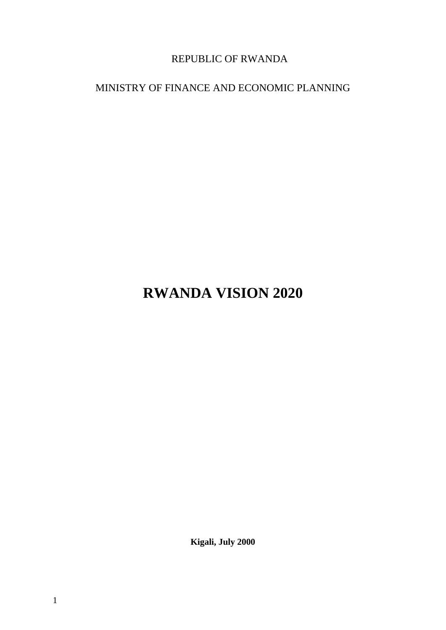# REPUBLIC OF RWANDA

# MINISTRY OF FINANCE AND ECONOMIC PLANNING

# **RWANDA VISION 2020**

**Kigali, July 2000**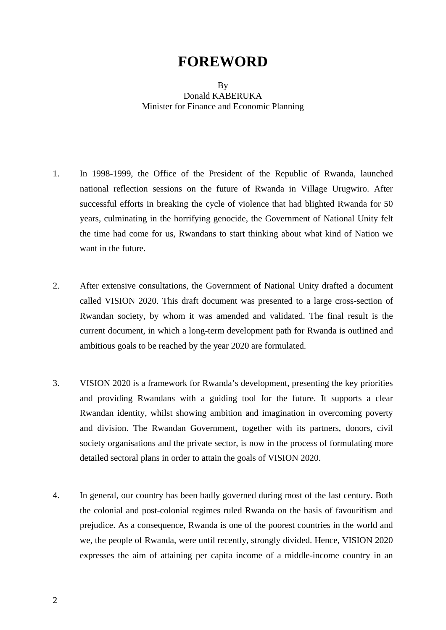# **FOREWORD**

#### By Donald KABERUKA Minister for Finance and Economic Planning

- 1. In 1998-1999, the Office of the President of the Republic of Rwanda, launched national reflection sessions on the future of Rwanda in Village Urugwiro. After successful efforts in breaking the cycle of violence that had blighted Rwanda for 50 years, culminating in the horrifying genocide, the Government of National Unity felt the time had come for us, Rwandans to start thinking about what kind of Nation we want in the future.
- 2. After extensive consultations, the Government of National Unity drafted a document called VISION 2020. This draft document was presented to a large cross-section of Rwandan society, by whom it was amended and validated. The final result is the current document, in which a long-term development path for Rwanda is outlined and ambitious goals to be reached by the year 2020 are formulated.
- 3. VISION 2020 is a framework for Rwanda's development, presenting the key priorities and providing Rwandans with a guiding tool for the future. It supports a clear Rwandan identity, whilst showing ambition and imagination in overcoming poverty and division. The Rwandan Government, together with its partners, donors, civil society organisations and the private sector, is now in the process of formulating more detailed sectoral plans in order to attain the goals of VISION 2020.
- 4. In general, our country has been badly governed during most of the last century. Both the colonial and post-colonial regimes ruled Rwanda on the basis of favouritism and prejudice. As a consequence, Rwanda is one of the poorest countries in the world and we, the people of Rwanda, were until recently, strongly divided. Hence, VISION 2020 expresses the aim of attaining per capita income of a middle-income country in an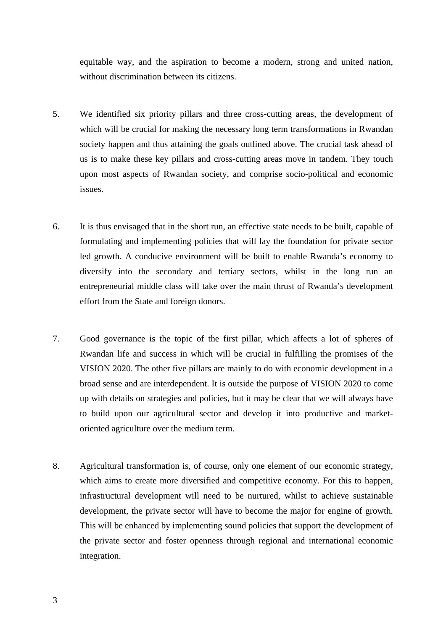equitable way, and the aspiration to become a modern, strong and united nation, without discrimination between its citizens.

- 5. We identified six priority pillars and three cross-cutting areas, the development of which will be crucial for making the necessary long term transformations in Rwandan society happen and thus attaining the goals outlined above. The crucial task ahead of us is to make these key pillars and cross-cutting areas move in tandem. They touch upon most aspects of Rwandan society, and comprise socio-political and economic issues.
- 6. It is thus envisaged that in the short run, an effective state needs to be built, capable of formulating and implementing policies that will lay the foundation for private sector led growth. A conducive environment will be built to enable Rwanda's economy to diversify into the secondary and tertiary sectors, whilst in the long run an entrepreneurial middle class will take over the main thrust of Rwanda's development effort from the State and foreign donors.
- 7. Good governance is the topic of the first pillar, which affects a lot of spheres of Rwandan life and success in which will be crucial in fulfilling the promises of the VISION 2020. The other five pillars are mainly to do with economic development in a broad sense and are interdependent. It is outside the purpose of VISION 2020 to come up with details on strategies and policies, but it may be clear that we will always have to build upon our agricultural sector and develop it into productive and marketoriented agriculture over the medium term.
- 8. Agricultural transformation is, of course, only one element of our economic strategy, which aims to create more diversified and competitive economy. For this to happen, infrastructural development will need to be nurtured, whilst to achieve sustainable development, the private sector will have to become the major for engine of growth. This will be enhanced by implementing sound policies that support the development of the private sector and foster openness through regional and international economic integration.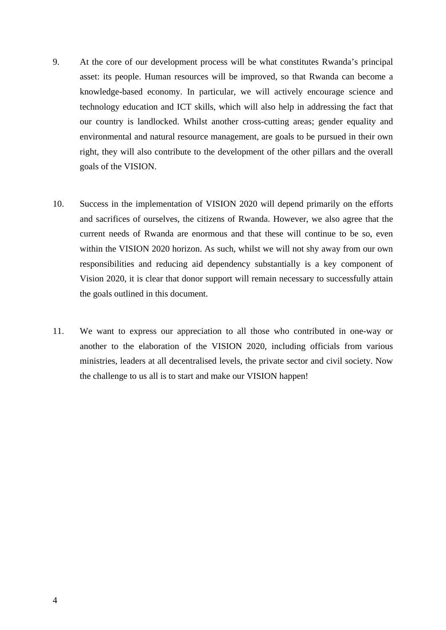- 9. At the core of our development process will be what constitutes Rwanda's principal asset: its people. Human resources will be improved, so that Rwanda can become a knowledge-based economy. In particular, we will actively encourage science and technology education and ICT skills, which will also help in addressing the fact that our country is landlocked. Whilst another cross-cutting areas; gender equality and environmental and natural resource management, are goals to be pursued in their own right, they will also contribute to the development of the other pillars and the overall goals of the VISION.
- 10. Success in the implementation of VISION 2020 will depend primarily on the efforts and sacrifices of ourselves, the citizens of Rwanda. However, we also agree that the current needs of Rwanda are enormous and that these will continue to be so, even within the VISION 2020 horizon. As such, whilst we will not shy away from our own responsibilities and reducing aid dependency substantially is a key component of Vision 2020, it is clear that donor support will remain necessary to successfully attain the goals outlined in this document.
- 11. We want to express our appreciation to all those who contributed in one-way or another to the elaboration of the VISION 2020, including officials from various ministries, leaders at all decentralised levels, the private sector and civil society. Now the challenge to us all is to start and make our VISION happen!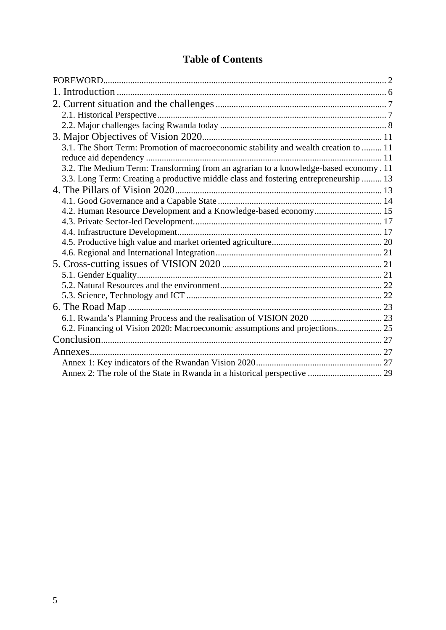# **Table of Contents**

| 3.1. The Short Term: Promotion of macroeconomic stability and wealth creation to  11  |  |
|---------------------------------------------------------------------------------------|--|
|                                                                                       |  |
| 3.2. The Medium Term: Transforming from an agrarian to a knowledge-based economy . 11 |  |
| 3.3. Long Term: Creating a productive middle class and fostering entrepreneurship  13 |  |
|                                                                                       |  |
|                                                                                       |  |
| 4.2. Human Resource Development and a Knowledge-based economy 15                      |  |
|                                                                                       |  |
|                                                                                       |  |
|                                                                                       |  |
|                                                                                       |  |
|                                                                                       |  |
|                                                                                       |  |
|                                                                                       |  |
|                                                                                       |  |
|                                                                                       |  |
|                                                                                       |  |
| 6.2. Financing of Vision 2020: Macroeconomic assumptions and projections 25           |  |
|                                                                                       |  |
|                                                                                       |  |
|                                                                                       |  |
|                                                                                       |  |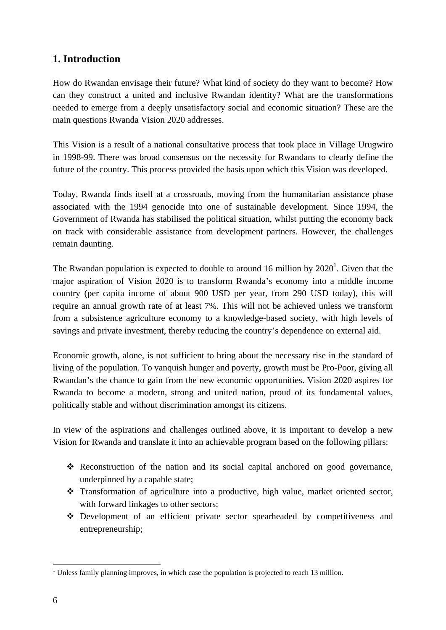# **1. Introduction**

How do Rwandan envisage their future? What kind of society do they want to become? How can they construct a united and inclusive Rwandan identity? What are the transformations needed to emerge from a deeply unsatisfactory social and economic situation? These are the main questions Rwanda Vision 2020 addresses.

This Vision is a result of a national consultative process that took place in Village Urugwiro in 1998-99. There was broad consensus on the necessity for Rwandans to clearly define the future of the country. This process provided the basis upon which this Vision was developed.

Today, Rwanda finds itself at a crossroads, moving from the humanitarian assistance phase associated with the 1994 genocide into one of sustainable development. Since 1994, the Government of Rwanda has stabilised the political situation, whilst putting the economy back on track with considerable assistance from development partners. However, the challenges remain daunting.

The Rwandan population is expected to double to around 16 million by  $2020<sup>1</sup>$ . Given that the major aspiration of Vision 2020 is to transform Rwanda's economy into a middle income country (per capita income of about 900 USD per year, from 290 USD today), this will require an annual growth rate of at least 7%. This will not be achieved unless we transform from a subsistence agriculture economy to a knowledge-based society, with high levels of savings and private investment, thereby reducing the country's dependence on external aid.

Economic growth, alone, is not sufficient to bring about the necessary rise in the standard of living of the population. To vanquish hunger and poverty, growth must be Pro-Poor, giving all Rwandan's the chance to gain from the new economic opportunities. Vision 2020 aspires for Rwanda to become a modern, strong and united nation, proud of its fundamental values, politically stable and without discrimination amongst its citizens.

In view of the aspirations and challenges outlined above, it is important to develop a new Vision for Rwanda and translate it into an achievable program based on the following pillars:

- Reconstruction of the nation and its social capital anchored on good governance, underpinned by a capable state;
- Transformation of agriculture into a productive, high value, market oriented sector, with forward linkages to other sectors;
- Development of an efficient private sector spearheaded by competitiveness and entrepreneurship;

 $\overline{a}$ 

 $<sup>1</sup>$  Unless family planning improves, in which case the population is projected to reach 13 million.</sup>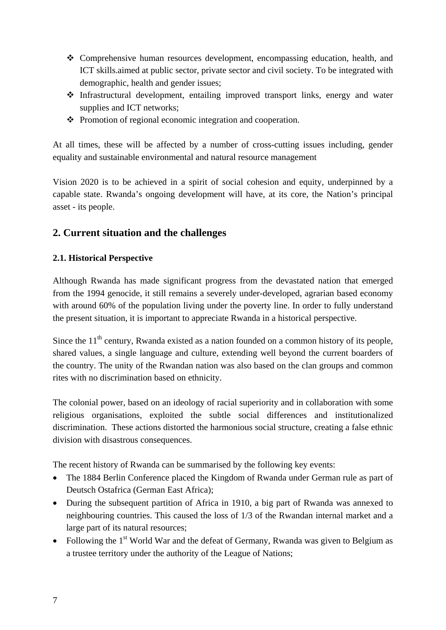- Comprehensive human resources development, encompassing education, health, and ICT skills.aimed at public sector, private sector and civil society. To be integrated with demographic, health and gender issues;
- Infrastructural development, entailing improved transport links, energy and water supplies and ICT networks;
- $\triangle$  Promotion of regional economic integration and cooperation.

At all times, these will be affected by a number of cross-cutting issues including, gender equality and sustainable environmental and natural resource management

Vision 2020 is to be achieved in a spirit of social cohesion and equity, underpinned by a capable state. Rwanda's ongoing development will have, at its core, the Nation's principal asset - its people.

# **2. Current situation and the challenges**

#### **2.1. Historical Perspective**

Although Rwanda has made significant progress from the devastated nation that emerged from the 1994 genocide, it still remains a severely under-developed, agrarian based economy with around 60% of the population living under the poverty line. In order to fully understand the present situation, it is important to appreciate Rwanda in a historical perspective.

Since the  $11<sup>th</sup>$  century, Rwanda existed as a nation founded on a common history of its people, shared values, a single language and culture, extending well beyond the current boarders of the country. The unity of the Rwandan nation was also based on the clan groups and common rites with no discrimination based on ethnicity.

The colonial power, based on an ideology of racial superiority and in collaboration with some religious organisations, exploited the subtle social differences and institutionalized discrimination. These actions distorted the harmonious social structure, creating a false ethnic division with disastrous consequences.

The recent history of Rwanda can be summarised by the following key events:

- The 1884 Berlin Conference placed the Kingdom of Rwanda under German rule as part of Deutsch Ostafrica (German East Africa);
- During the subsequent partition of Africa in 1910, a big part of Rwanda was annexed to neighbouring countries. This caused the loss of 1/3 of the Rwandan internal market and a large part of its natural resources;
- Following the  $1<sup>st</sup>$  World War and the defeat of Germany, Rwanda was given to Belgium as a trustee territory under the authority of the League of Nations;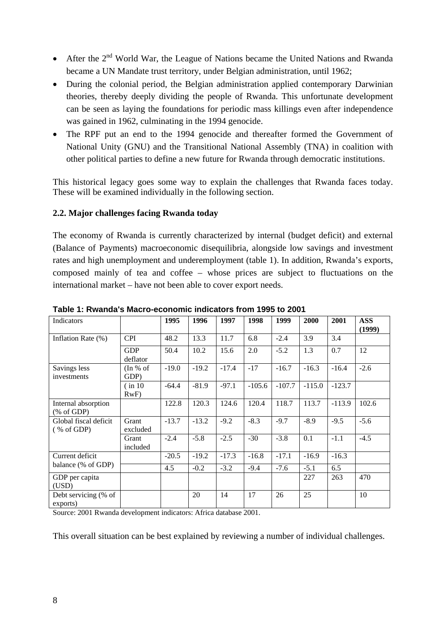- After the  $2<sup>nd</sup>$  World War, the League of Nations became the United Nations and Rwanda became a UN Mandate trust territory, under Belgian administration, until 1962;
- During the colonial period, the Belgian administration applied contemporary Darwinian theories, thereby deeply dividing the people of Rwanda. This unfortunate development can be seen as laying the foundations for periodic mass killings even after independence was gained in 1962, culminating in the 1994 genocide.
- The RPF put an end to the 1994 genocide and thereafter formed the Government of National Unity (GNU) and the Transitional National Assembly (TNA) in coalition with other political parties to define a new future for Rwanda through democratic institutions.

This historical legacy goes some way to explain the challenges that Rwanda faces today. These will be examined individually in the following section.

#### **2.2. Major challenges facing Rwanda today**

The economy of Rwanda is currently characterized by internal (budget deficit) and external (Balance of Payments) macroeconomic disequilibria, alongside low savings and investment rates and high unemployment and underemployment (table 1). In addition, Rwanda's exports, composed mainly of tea and coffee – whose prices are subject to fluctuations on the international market – have not been able to cover export needs.

| Indicators                        |                        | 1995    | 1996    | 1997    | 1998     | 1999     | 2000     | 2001     | <b>ASS</b><br>(1999) |
|-----------------------------------|------------------------|---------|---------|---------|----------|----------|----------|----------|----------------------|
| Inflation Rate (%)                | <b>CPI</b>             | 48.2    | 13.3    | 11.7    | 6.8      | $-2.4$   | 3.9      | 3.4      |                      |
|                                   | <b>GDP</b><br>deflator | 50.4    | 10.2    | 15.6    | 2.0      | $-5.2$   | 1.3      | 0.7      | 12                   |
| Savings less<br>investments       | (In % of<br>GDP)       | $-19.0$ | $-19.2$ | $-17.4$ | $-17$    | $-16.7$  | $-16.3$  | $-16.4$  | $-2.6$               |
|                                   | (in 10<br>RwF          | $-64.4$ | $-81.9$ | $-97.1$ | $-105.6$ | $-107.7$ | $-115.0$ | $-123.7$ |                      |
| Internal absorption<br>% of GDP   |                        | 122.8   | 120.3   | 124.6   | 120.4    | 118.7    | 113.7    | $-113.9$ | 102.6                |
| Global fiscal deficit<br>% of GDP | Grant<br>excluded      | $-13.7$ | $-13.2$ | $-9.2$  | $-8.3$   | $-9.7$   | $-8.9$   | $-9.5$   | $-5.6$               |
|                                   | Grant<br>included      | $-2.4$  | $-5.8$  | $-2.5$  | $-30$    | $-3.8$   | 0.1      | $-1.1$   | $-4.5$               |
| Current deficit                   |                        | $-20.5$ | $-19.2$ | $-17.3$ | $-16.8$  | $-17.1$  | $-16.9$  | $-16.3$  |                      |
| balance (% of GDP)                |                        | 4.5     | $-0.2$  | $-3.2$  | $-9.4$   | $-7.6$   | $-5.1$   | 6.5      |                      |
| GDP per capita<br>(USD)           |                        |         |         |         |          |          | 227      | 263      | 470                  |
| Debt servicing (% of<br>exports)  |                        |         | 20      | 14      | 17       | 26       | 25       |          | 10                   |

**Table 1: Rwanda's Macro-economic indicators from 1995 to 2001** 

Source: 2001 Rwanda development indicators: Africa database 2001.

This overall situation can be best explained by reviewing a number of individual challenges.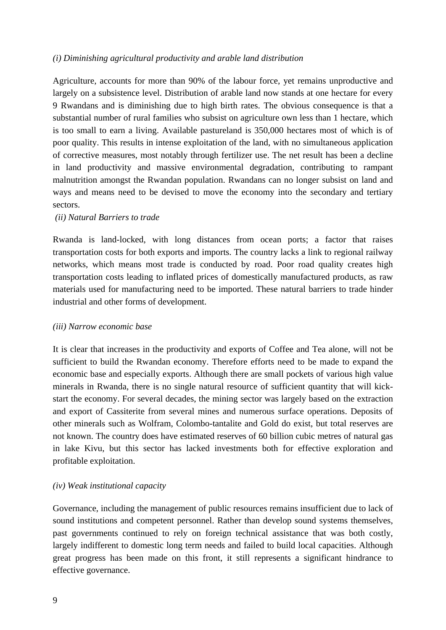#### *(i) Diminishing agricultural productivity and arable land distribution*

Agriculture, accounts for more than 90% of the labour force, yet remains unproductive and largely on a subsistence level. Distribution of arable land now stands at one hectare for every 9 Rwandans and is diminishing due to high birth rates. The obvious consequence is that a substantial number of rural families who subsist on agriculture own less than 1 hectare, which is too small to earn a living. Available pastureland is 350,000 hectares most of which is of poor quality. This results in intense exploitation of the land, with no simultaneous application of corrective measures, most notably through fertilizer use. The net result has been a decline in land productivity and massive environmental degradation, contributing to rampant malnutrition amongst the Rwandan population. Rwandans can no longer subsist on land and ways and means need to be devised to move the economy into the secondary and tertiary sectors.

#### *(ii) Natural Barriers to trade*

Rwanda is land-locked, with long distances from ocean ports; a factor that raises transportation costs for both exports and imports. The country lacks a link to regional railway networks, which means most trade is conducted by road. Poor road quality creates high transportation costs leading to inflated prices of domestically manufactured products, as raw materials used for manufacturing need to be imported. These natural barriers to trade hinder industrial and other forms of development.

#### *(iii) Narrow economic base*

It is clear that increases in the productivity and exports of Coffee and Tea alone, will not be sufficient to build the Rwandan economy. Therefore efforts need to be made to expand the economic base and especially exports. Although there are small pockets of various high value minerals in Rwanda, there is no single natural resource of sufficient quantity that will kickstart the economy. For several decades, the mining sector was largely based on the extraction and export of Cassiterite from several mines and numerous surface operations. Deposits of other minerals such as Wolfram, Colombo-tantalite and Gold do exist, but total reserves are not known. The country does have estimated reserves of 60 billion cubic metres of natural gas in lake Kivu, but this sector has lacked investments both for effective exploration and profitable exploitation.

#### *(iv) Weak institutional capacity*

Governance, including the management of public resources remains insufficient due to lack of sound institutions and competent personnel. Rather than develop sound systems themselves, past governments continued to rely on foreign technical assistance that was both costly, largely indifferent to domestic long term needs and failed to build local capacities. Although great progress has been made on this front, it still represents a significant hindrance to effective governance.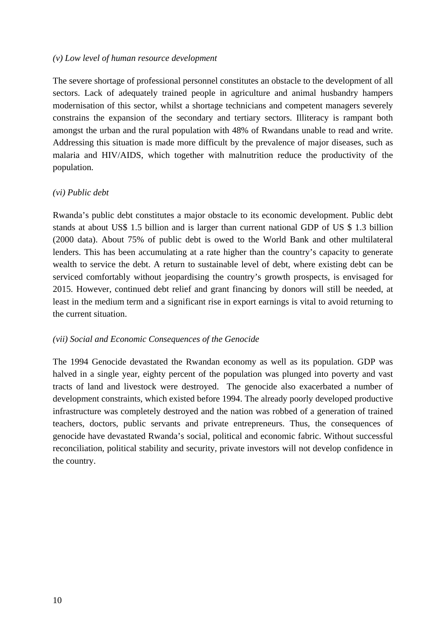#### *(v) Low level of human resource development*

The severe shortage of professional personnel constitutes an obstacle to the development of all sectors. Lack of adequately trained people in agriculture and animal husbandry hampers modernisation of this sector, whilst a shortage technicians and competent managers severely constrains the expansion of the secondary and tertiary sectors. Illiteracy is rampant both amongst the urban and the rural population with 48% of Rwandans unable to read and write. Addressing this situation is made more difficult by the prevalence of major diseases, such as malaria and HIV/AIDS, which together with malnutrition reduce the productivity of the population.

#### *(vi) Public debt*

Rwanda's public debt constitutes a major obstacle to its economic development. Public debt stands at about US\$ 1.5 billion and is larger than current national GDP of US \$ 1.3 billion (2000 data). About 75% of public debt is owed to the World Bank and other multilateral lenders. This has been accumulating at a rate higher than the country's capacity to generate wealth to service the debt. A return to sustainable level of debt, where existing debt can be serviced comfortably without jeopardising the country's growth prospects, is envisaged for 2015. However, continued debt relief and grant financing by donors will still be needed, at least in the medium term and a significant rise in export earnings is vital to avoid returning to the current situation.

#### *(vii) Social and Economic Consequences of the Genocide*

The 1994 Genocide devastated the Rwandan economy as well as its population. GDP was halved in a single year, eighty percent of the population was plunged into poverty and vast tracts of land and livestock were destroyed. The genocide also exacerbated a number of development constraints, which existed before 1994. The already poorly developed productive infrastructure was completely destroyed and the nation was robbed of a generation of trained teachers, doctors, public servants and private entrepreneurs. Thus, the consequences of genocide have devastated Rwanda's social, political and economic fabric. Without successful reconciliation, political stability and security, private investors will not develop confidence in the country.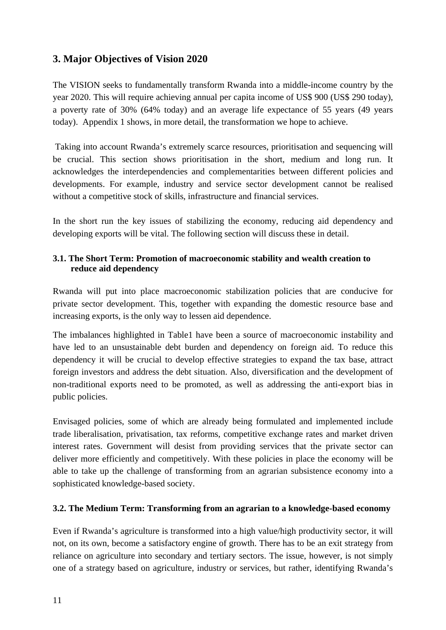# **3. Major Objectives of Vision 2020**

The VISION seeks to fundamentally transform Rwanda into a middle-income country by the year 2020. This will require achieving annual per capita income of US\$ 900 (US\$ 290 today), a poverty rate of 30% (64% today) and an average life expectance of 55 years (49 years today). Appendix 1 shows, in more detail, the transformation we hope to achieve.

 Taking into account Rwanda's extremely scarce resources, prioritisation and sequencing will be crucial. This section shows prioritisation in the short, medium and long run. It acknowledges the interdependencies and complementarities between different policies and developments. For example, industry and service sector development cannot be realised without a competitive stock of skills, infrastructure and financial services.

In the short run the key issues of stabilizing the economy, reducing aid dependency and developing exports will be vital. The following section will discuss these in detail.

#### **3.1. The Short Term: Promotion of macroeconomic stability and wealth creation to reduce aid dependency**

Rwanda will put into place macroeconomic stabilization policies that are conducive for private sector development. This, together with expanding the domestic resource base and increasing exports, is the only way to lessen aid dependence.

The imbalances highlighted in Table1 have been a source of macroeconomic instability and have led to an unsustainable debt burden and dependency on foreign aid. To reduce this dependency it will be crucial to develop effective strategies to expand the tax base, attract foreign investors and address the debt situation. Also, diversification and the development of non-traditional exports need to be promoted, as well as addressing the anti-export bias in public policies.

Envisaged policies, some of which are already being formulated and implemented include trade liberalisation, privatisation, tax reforms, competitive exchange rates and market driven interest rates. Government will desist from providing services that the private sector can deliver more efficiently and competitively. With these policies in place the economy will be able to take up the challenge of transforming from an agrarian subsistence economy into a sophisticated knowledge-based society.

#### **3.2. The Medium Term: Transforming from an agrarian to a knowledge-based economy**

Even if Rwanda's agriculture is transformed into a high value/high productivity sector, it will not, on its own, become a satisfactory engine of growth. There has to be an exit strategy from reliance on agriculture into secondary and tertiary sectors. The issue, however, is not simply one of a strategy based on agriculture, industry or services, but rather, identifying Rwanda's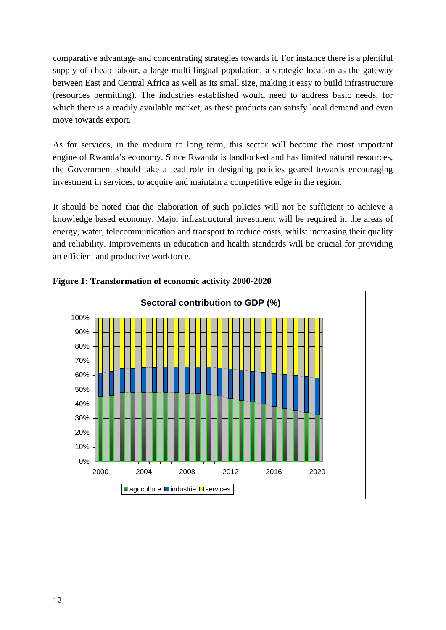comparative advantage and concentrating strategies towards it. For instance there is a plentiful supply of cheap labour, a large multi-lingual population, a strategic location as the gateway between East and Central Africa as well as its small size, making it easy to build infrastructure (resources permitting). The industries established would need to address basic needs, for which there is a readily available market, as these products can satisfy local demand and even move towards export.

As for services, in the medium to long term, this sector will become the most important engine of Rwanda's economy. Since Rwanda is landlocked and has limited natural resources, the Government should take a lead role in designing policies geared towards encouraging investment in services, to acquire and maintain a competitive edge in the region.

It should be noted that the elaboration of such policies will not be sufficient to achieve a knowledge based economy. Major infrastructural investment will be required in the areas of energy, water, telecommunication and transport to reduce costs, whilst increasing their quality and reliability. Improvements in education and health standards will be crucial for providing an efficient and productive workforce.



**Figure 1: Transformation of economic activity 2000-2020**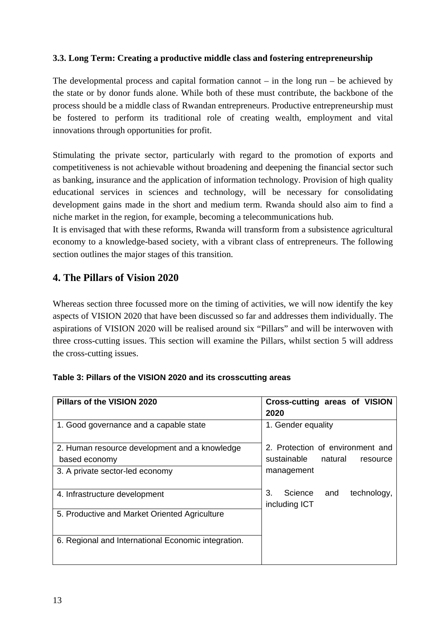#### **3.3. Long Term: Creating a productive middle class and fostering entrepreneurship**

The developmental process and capital formation cannot  $-$  in the long run  $-$  be achieved by the state or by donor funds alone. While both of these must contribute, the backbone of the process should be a middle class of Rwandan entrepreneurs. Productive entrepreneurship must be fostered to perform its traditional role of creating wealth, employment and vital innovations through opportunities for profit.

Stimulating the private sector, particularly with regard to the promotion of exports and competitiveness is not achievable without broadening and deepening the financial sector such as banking, insurance and the application of information technology. Provision of high quality educational services in sciences and technology, will be necessary for consolidating development gains made in the short and medium term. Rwanda should also aim to find a niche market in the region, for example, becoming a telecommunications hub.

It is envisaged that with these reforms, Rwanda will transform from a subsistence agricultural economy to a knowledge-based society, with a vibrant class of entrepreneurs. The following section outlines the major stages of this transition.

## **4. The Pillars of Vision 2020**

Whereas section three focussed more on the timing of activities, we will now identify the key aspects of VISION 2020 that have been discussed so far and addresses them individually. The aspirations of VISION 2020 will be realised around six "Pillars" and will be interwoven with three cross-cutting issues. This section will examine the Pillars, whilst section 5 will address the cross-cutting issues.

| Pillars of the VISION 2020                          | Cross-cutting areas of VISION<br>2020                |
|-----------------------------------------------------|------------------------------------------------------|
| 1. Good governance and a capable state              | 1. Gender equality                                   |
| 2. Human resource development and a knowledge       | 2. Protection of environment and                     |
| based economy                                       | sustainable natural<br>resource                      |
| 3. A private sector-led economy                     | management                                           |
| 4. Infrastructure development                       | 3.<br>Science<br>and<br>technology,<br>including ICT |
| 5. Productive and Market Oriented Agriculture       |                                                      |
| 6. Regional and International Economic integration. |                                                      |

#### **Table 3: Pillars of the VISION 2020 and its crosscutting areas**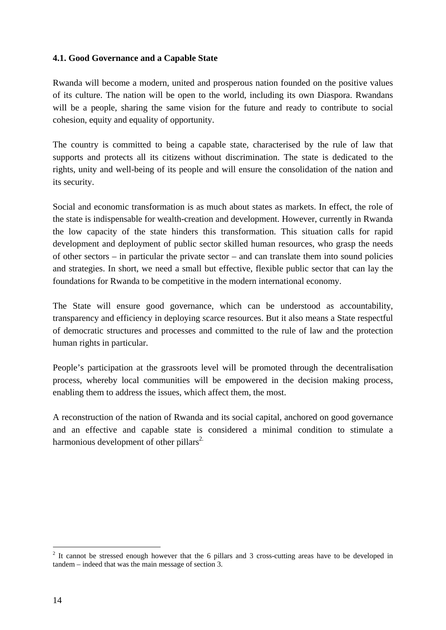#### **4.1. Good Governance and a Capable State**

Rwanda will become a modern, united and prosperous nation founded on the positive values of its culture. The nation will be open to the world, including its own Diaspora. Rwandans will be a people, sharing the same vision for the future and ready to contribute to social cohesion, equity and equality of opportunity.

The country is committed to being a capable state, characterised by the rule of law that supports and protects all its citizens without discrimination. The state is dedicated to the rights, unity and well-being of its people and will ensure the consolidation of the nation and its security.

Social and economic transformation is as much about states as markets. In effect, the role of the state is indispensable for wealth-creation and development. However, currently in Rwanda the low capacity of the state hinders this transformation. This situation calls for rapid development and deployment of public sector skilled human resources, who grasp the needs of other sectors – in particular the private sector – and can translate them into sound policies and strategies. In short, we need a small but effective, flexible public sector that can lay the foundations for Rwanda to be competitive in the modern international economy.

The State will ensure good governance, which can be understood as accountability, transparency and efficiency in deploying scarce resources. But it also means a State respectful of democratic structures and processes and committed to the rule of law and the protection human rights in particular.

People's participation at the grassroots level will be promoted through the decentralisation process, whereby local communities will be empowered in the decision making process, enabling them to address the issues, which affect them, the most.

A reconstruction of the nation of Rwanda and its social capital, anchored on good governance and an effective and capable state is considered a minimal condition to stimulate a harmonious development of other pillars<sup>2.</sup>

 $\overline{a}$ 

 $2$  It cannot be stressed enough however that the 6 pillars and 3 cross-cutting areas have to be developed in tandem – indeed that was the main message of section 3.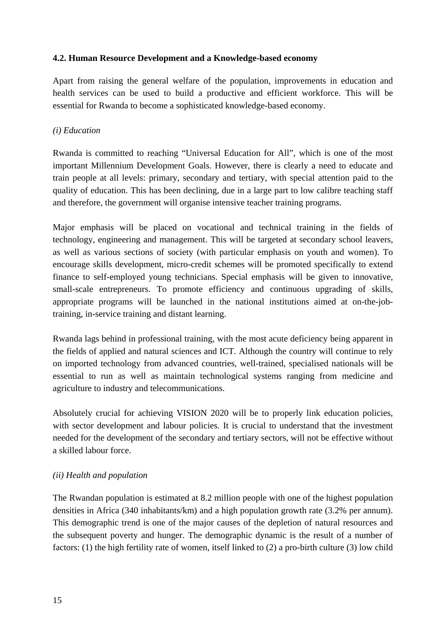#### **4.2. Human Resource Development and a Knowledge-based economy**

Apart from raising the general welfare of the population, improvements in education and health services can be used to build a productive and efficient workforce. This will be essential for Rwanda to become a sophisticated knowledge-based economy.

#### *(i) Education*

Rwanda is committed to reaching "Universal Education for All", which is one of the most important Millennium Development Goals. However, there is clearly a need to educate and train people at all levels: primary, secondary and tertiary, with special attention paid to the quality of education. This has been declining, due in a large part to low calibre teaching staff and therefore, the government will organise intensive teacher training programs.

Major emphasis will be placed on vocational and technical training in the fields of technology, engineering and management. This will be targeted at secondary school leavers, as well as various sections of society (with particular emphasis on youth and women). To encourage skills development, micro-credit schemes will be promoted specifically to extend finance to self-employed young technicians. Special emphasis will be given to innovative, small-scale entrepreneurs. To promote efficiency and continuous upgrading of skills, appropriate programs will be launched in the national institutions aimed at on-the-jobtraining, in-service training and distant learning.

Rwanda lags behind in professional training, with the most acute deficiency being apparent in the fields of applied and natural sciences and ICT. Although the country will continue to rely on imported technology from advanced countries, well-trained, specialised nationals will be essential to run as well as maintain technological systems ranging from medicine and agriculture to industry and telecommunications.

Absolutely crucial for achieving VISION 2020 will be to properly link education policies, with sector development and labour policies. It is crucial to understand that the investment needed for the development of the secondary and tertiary sectors, will not be effective without a skilled labour force.

#### *(ii) Health and population*

The Rwandan population is estimated at 8.2 million people with one of the highest population densities in Africa (340 inhabitants/km) and a high population growth rate (3.2% per annum). This demographic trend is one of the major causes of the depletion of natural resources and the subsequent poverty and hunger. The demographic dynamic is the result of a number of factors: (1) the high fertility rate of women, itself linked to (2) a pro-birth culture (3) low child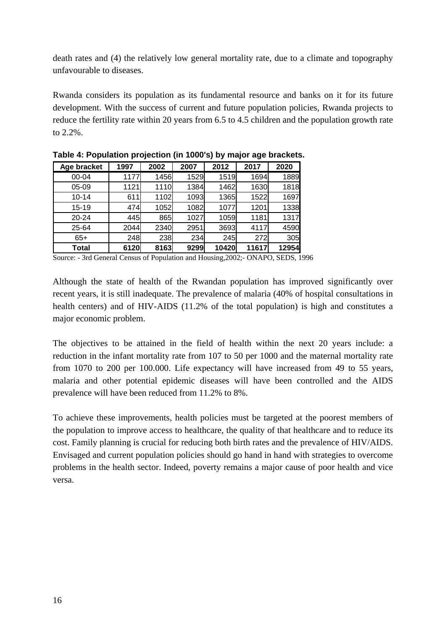death rates and (4) the relatively low general mortality rate, due to a climate and topography unfavourable to diseases.

Rwanda considers its population as its fundamental resource and banks on it for its future development. With the success of current and future population policies, Rwanda projects to reduce the fertility rate within 20 years from 6.5 to 4.5 children and the population growth rate to 2.2%.

| Age bracket  | 1997 | 2002 | 2007 | 2012  | 2017  | 2020  |
|--------------|------|------|------|-------|-------|-------|
| 00-04        | 1177 | 1456 | 1529 | 1519  | 1694  | 1889  |
| 05-09        | 1121 | 1110 | 1384 | 1462  | 1630  | 1818  |
| $10 - 14$    | 611  | 1102 | 1093 | 1365  | 1522  | 1697  |
| $15 - 19$    | 474  | 1052 | 1082 | 1077  | 1201  | 1338  |
| 20-24        | 445  | 865  | 1027 | 1059  | 1181  | 1317  |
| 25-64        | 2044 | 2340 | 2951 | 3693  | 4117  | 4590  |
| $65+$        | 248  | 238  | 234  | 245   | 272   | 305   |
| <b>Total</b> | 6120 | 8163 | 9299 | 10420 | 11617 | 12954 |

**Table 4: Population projection (in 1000's) by major age brackets.** 

Source: - 3rd General Census of Population and Housing,2002;- ONAPO, SEDS, 1996

Although the state of health of the Rwandan population has improved significantly over recent years, it is still inadequate. The prevalence of malaria (40% of hospital consultations in health centers) and of HIV-AIDS (11.2% of the total population) is high and constitutes a major economic problem.

The objectives to be attained in the field of health within the next 20 years include: a reduction in the infant mortality rate from 107 to 50 per 1000 and the maternal mortality rate from 1070 to 200 per 100.000. Life expectancy will have increased from 49 to 55 years, malaria and other potential epidemic diseases will have been controlled and the AIDS prevalence will have been reduced from 11.2% to 8%.

To achieve these improvements, health policies must be targeted at the poorest members of the population to improve access to healthcare, the quality of that healthcare and to reduce its cost. Family planning is crucial for reducing both birth rates and the prevalence of HIV/AIDS. Envisaged and current population policies should go hand in hand with strategies to overcome problems in the health sector. Indeed, poverty remains a major cause of poor health and vice versa.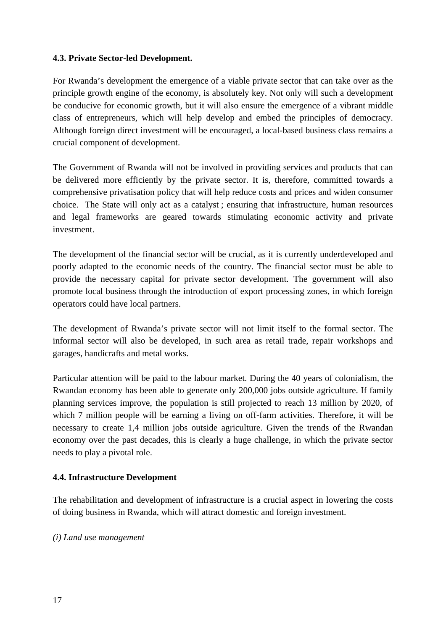#### **4.3. Private Sector-led Development.**

For Rwanda's development the emergence of a viable private sector that can take over as the principle growth engine of the economy, is absolutely key. Not only will such a development be conducive for economic growth, but it will also ensure the emergence of a vibrant middle class of entrepreneurs, which will help develop and embed the principles of democracy. Although foreign direct investment will be encouraged, a local-based business class remains a crucial component of development.

The Government of Rwanda will not be involved in providing services and products that can be delivered more efficiently by the private sector. It is, therefore, committed towards a comprehensive privatisation policy that will help reduce costs and prices and widen consumer choice. The State will only act as a catalyst ; ensuring that infrastructure, human resources and legal frameworks are geared towards stimulating economic activity and private investment.

The development of the financial sector will be crucial, as it is currently underdeveloped and poorly adapted to the economic needs of the country. The financial sector must be able to provide the necessary capital for private sector development. The government will also promote local business through the introduction of export processing zones, in which foreign operators could have local partners.

The development of Rwanda's private sector will not limit itself to the formal sector. The informal sector will also be developed, in such area as retail trade, repair workshops and garages, handicrafts and metal works.

Particular attention will be paid to the labour market. During the 40 years of colonialism, the Rwandan economy has been able to generate only 200,000 jobs outside agriculture. If family planning services improve, the population is still projected to reach 13 million by 2020, of which 7 million people will be earning a living on off-farm activities. Therefore, it will be necessary to create 1,4 million jobs outside agriculture. Given the trends of the Rwandan economy over the past decades, this is clearly a huge challenge, in which the private sector needs to play a pivotal role.

#### **4.4. Infrastructure Development**

The rehabilitation and development of infrastructure is a crucial aspect in lowering the costs of doing business in Rwanda, which will attract domestic and foreign investment.

#### *(i) Land use management*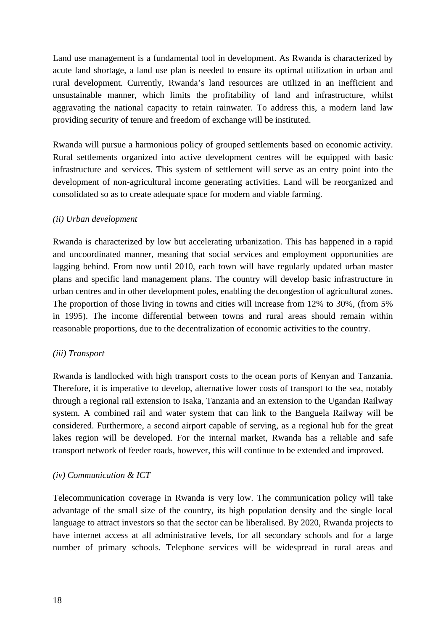Land use management is a fundamental tool in development. As Rwanda is characterized by acute land shortage, a land use plan is needed to ensure its optimal utilization in urban and rural development. Currently, Rwanda's land resources are utilized in an inefficient and unsustainable manner, which limits the profitability of land and infrastructure, whilst aggravating the national capacity to retain rainwater. To address this, a modern land law providing security of tenure and freedom of exchange will be instituted.

Rwanda will pursue a harmonious policy of grouped settlements based on economic activity. Rural settlements organized into active development centres will be equipped with basic infrastructure and services. This system of settlement will serve as an entry point into the development of non-agricultural income generating activities. Land will be reorganized and consolidated so as to create adequate space for modern and viable farming.

#### *(ii) Urban development*

Rwanda is characterized by low but accelerating urbanization. This has happened in a rapid and uncoordinated manner, meaning that social services and employment opportunities are lagging behind. From now until 2010, each town will have regularly updated urban master plans and specific land management plans. The country will develop basic infrastructure in urban centres and in other development poles, enabling the decongestion of agricultural zones. The proportion of those living in towns and cities will increase from 12% to 30%, (from 5% in 1995). The income differential between towns and rural areas should remain within reasonable proportions, due to the decentralization of economic activities to the country.

#### *(iii) Transport*

Rwanda is landlocked with high transport costs to the ocean ports of Kenyan and Tanzania. Therefore, it is imperative to develop, alternative lower costs of transport to the sea, notably through a regional rail extension to Isaka, Tanzania and an extension to the Ugandan Railway system. A combined rail and water system that can link to the Banguela Railway will be considered. Furthermore, a second airport capable of serving, as a regional hub for the great lakes region will be developed. For the internal market, Rwanda has a reliable and safe transport network of feeder roads, however, this will continue to be extended and improved.

#### *(iv) Communication & ICT*

Telecommunication coverage in Rwanda is very low. The communication policy will take advantage of the small size of the country, its high population density and the single local language to attract investors so that the sector can be liberalised. By 2020, Rwanda projects to have internet access at all administrative levels, for all secondary schools and for a large number of primary schools. Telephone services will be widespread in rural areas and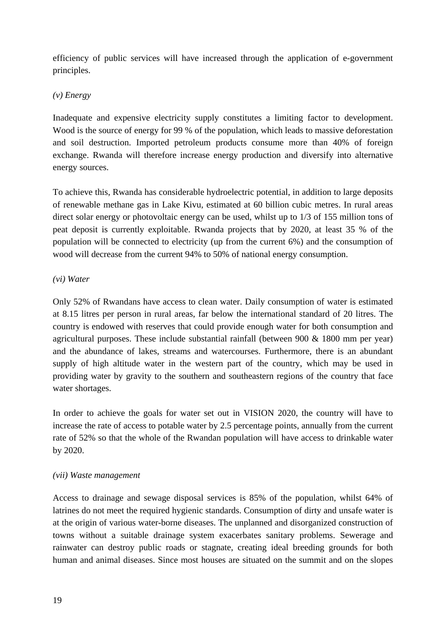efficiency of public services will have increased through the application of e-government principles.

#### *(v) Energy*

Inadequate and expensive electricity supply constitutes a limiting factor to development. Wood is the source of energy for 99 % of the population, which leads to massive deforestation and soil destruction. Imported petroleum products consume more than 40% of foreign exchange. Rwanda will therefore increase energy production and diversify into alternative energy sources.

To achieve this, Rwanda has considerable hydroelectric potential, in addition to large deposits of renewable methane gas in Lake Kivu, estimated at 60 billion cubic metres. In rural areas direct solar energy or photovoltaic energy can be used, whilst up to 1/3 of 155 million tons of peat deposit is currently exploitable. Rwanda projects that by 2020, at least 35 % of the population will be connected to electricity (up from the current 6%) and the consumption of wood will decrease from the current 94% to 50% of national energy consumption.

#### *(vi) Water*

Only 52% of Rwandans have access to clean water. Daily consumption of water is estimated at 8.15 litres per person in rural areas, far below the international standard of 20 litres. The country is endowed with reserves that could provide enough water for both consumption and agricultural purposes. These include substantial rainfall (between 900 & 1800 mm per year) and the abundance of lakes, streams and watercourses. Furthermore, there is an abundant supply of high altitude water in the western part of the country, which may be used in providing water by gravity to the southern and southeastern regions of the country that face water shortages.

In order to achieve the goals for water set out in VISION 2020, the country will have to increase the rate of access to potable water by 2.5 percentage points, annually from the current rate of 52% so that the whole of the Rwandan population will have access to drinkable water by 2020.

#### *(vii) Waste management*

Access to drainage and sewage disposal services is 85% of the population, whilst 64% of latrines do not meet the required hygienic standards. Consumption of dirty and unsafe water is at the origin of various water-borne diseases. The unplanned and disorganized construction of towns without a suitable drainage system exacerbates sanitary problems. Sewerage and rainwater can destroy public roads or stagnate, creating ideal breeding grounds for both human and animal diseases. Since most houses are situated on the summit and on the slopes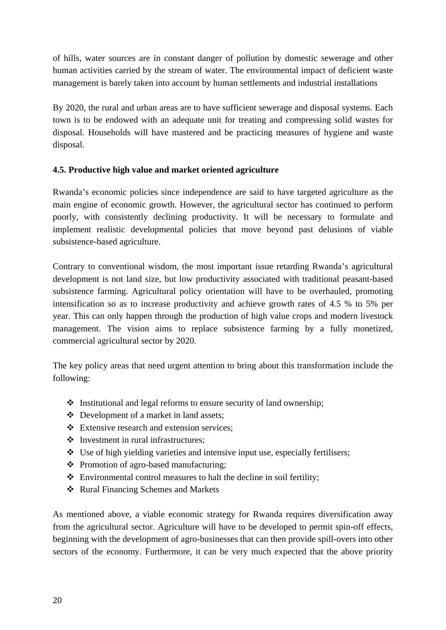of hills, water sources are in constant danger of pollution by domestic sewerage and other human activities carried by the stream of water. The environmental impact of deficient waste management is barely taken into account by human settlements and industrial installations

By 2020, the rural and urban areas are to have sufficient sewerage and disposal systems. Each town is to be endowed with an adequate unit for treating and compressing solid wastes for disposal. Households will have mastered and be practicing measures of hygiene and waste disposal.

### **4.5. Productive high value and market oriented agriculture**

Rwanda's economic policies since independence are said to have targeted agriculture as the main engine of economic growth. However, the agricultural sector has continued to perform poorly, with consistently declining productivity. It will be necessary to formulate and implement realistic developmental policies that move beyond past delusions of viable subsistence-based agriculture.

Contrary to conventional wisdom, the most important issue retarding Rwanda's agricultural development is not land size, but low productivity associated with traditional peasant-based subsistence farming. Agricultural policy orientation will have to be overhauled, promoting intensification so as to increase productivity and achieve growth rates of 4.5 % to 5% per year. This can only happen through the production of high value crops and modern livestock management. The vision aims to replace subsistence farming by a fully monetized, commercial agricultural sector by 2020.

The key policy areas that need urgent attention to bring about this transformation include the following:

- $\triangleleft$  Institutional and legal reforms to ensure security of land ownership;
- Development of a market in land assets;
- Extensive research and extension services;
- $\triangleleft$  Investment in rural infrastructures:
- Use of high yielding varieties and intensive input use, especially fertilisers;
- Promotion of agro-based manufacturing;
- $\triangle$  Environmental control measures to halt the decline in soil fertility;
- ❖ Rural Financing Schemes and Markets

As mentioned above, a viable economic strategy for Rwanda requires diversification away from the agricultural sector. Agriculture will have to be developed to permit spin-off effects, beginning with the development of agro-businesses that can then provide spill-overs into other sectors of the economy. Furthermore, it can be very much expected that the above priority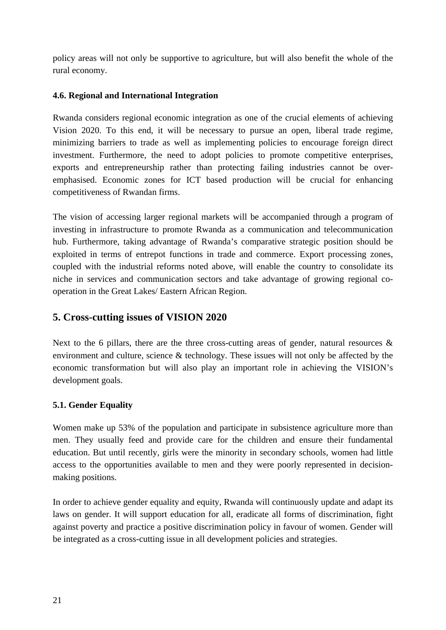policy areas will not only be supportive to agriculture, but will also benefit the whole of the rural economy.

#### **4.6. Regional and International Integration**

Rwanda considers regional economic integration as one of the crucial elements of achieving Vision 2020. To this end, it will be necessary to pursue an open, liberal trade regime, minimizing barriers to trade as well as implementing policies to encourage foreign direct investment. Furthermore, the need to adopt policies to promote competitive enterprises, exports and entrepreneurship rather than protecting failing industries cannot be overemphasised. Economic zones for ICT based production will be crucial for enhancing competitiveness of Rwandan firms.

The vision of accessing larger regional markets will be accompanied through a program of investing in infrastructure to promote Rwanda as a communication and telecommunication hub. Furthermore, taking advantage of Rwanda's comparative strategic position should be exploited in terms of entrepot functions in trade and commerce. Export processing zones, coupled with the industrial reforms noted above, will enable the country to consolidate its niche in services and communication sectors and take advantage of growing regional cooperation in the Great Lakes/ Eastern African Region.

## **5. Cross-cutting issues of VISION 2020**

Next to the 6 pillars, there are the three cross-cutting areas of gender, natural resources  $\&$ environment and culture, science & technology. These issues will not only be affected by the economic transformation but will also play an important role in achieving the VISION's development goals.

#### **5.1. Gender Equality**

Women make up 53% of the population and participate in subsistence agriculture more than men. They usually feed and provide care for the children and ensure their fundamental education. But until recently, girls were the minority in secondary schools, women had little access to the opportunities available to men and they were poorly represented in decisionmaking positions.

In order to achieve gender equality and equity, Rwanda will continuously update and adapt its laws on gender. It will support education for all, eradicate all forms of discrimination, fight against poverty and practice a positive discrimination policy in favour of women. Gender will be integrated as a cross-cutting issue in all development policies and strategies.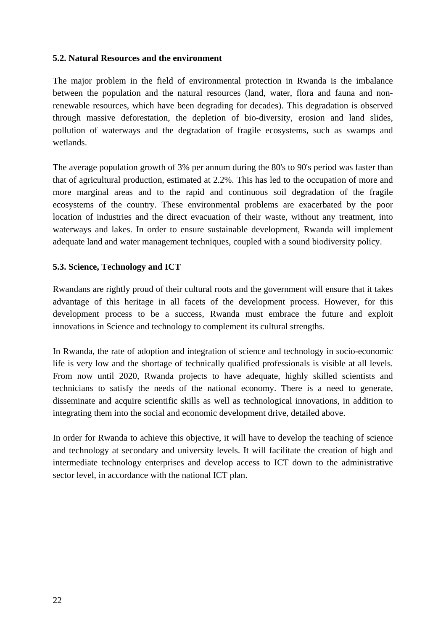#### **5.2. Natural Resources and the environment**

The major problem in the field of environmental protection in Rwanda is the imbalance between the population and the natural resources (land, water, flora and fauna and nonrenewable resources, which have been degrading for decades). This degradation is observed through massive deforestation, the depletion of bio-diversity, erosion and land slides, pollution of waterways and the degradation of fragile ecosystems, such as swamps and wetlands.

The average population growth of 3% per annum during the 80's to 90's period was faster than that of agricultural production, estimated at 2.2%. This has led to the occupation of more and more marginal areas and to the rapid and continuous soil degradation of the fragile ecosystems of the country. These environmental problems are exacerbated by the poor location of industries and the direct evacuation of their waste, without any treatment, into waterways and lakes. In order to ensure sustainable development, Rwanda will implement adequate land and water management techniques, coupled with a sound biodiversity policy.

#### **5.3. Science, Technology and ICT**

Rwandans are rightly proud of their cultural roots and the government will ensure that it takes advantage of this heritage in all facets of the development process. However, for this development process to be a success, Rwanda must embrace the future and exploit innovations in Science and technology to complement its cultural strengths.

In Rwanda, the rate of adoption and integration of science and technology in socio-economic life is very low and the shortage of technically qualified professionals is visible at all levels. From now until 2020, Rwanda projects to have adequate, highly skilled scientists and technicians to satisfy the needs of the national economy. There is a need to generate, disseminate and acquire scientific skills as well as technological innovations, in addition to integrating them into the social and economic development drive, detailed above.

In order for Rwanda to achieve this objective, it will have to develop the teaching of science and technology at secondary and university levels. It will facilitate the creation of high and intermediate technology enterprises and develop access to ICT down to the administrative sector level, in accordance with the national ICT plan.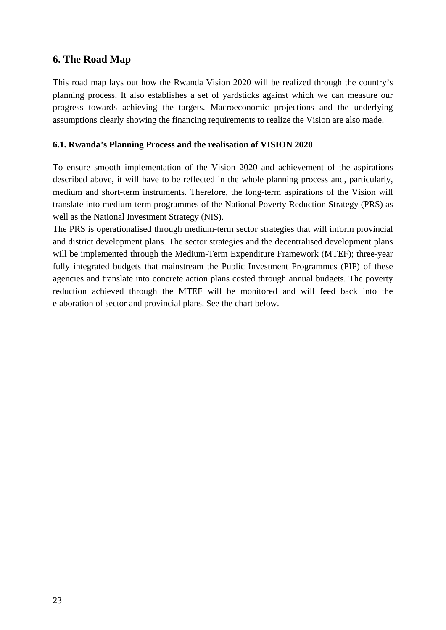## **6. The Road Map**

This road map lays out how the Rwanda Vision 2020 will be realized through the country's planning process. It also establishes a set of yardsticks against which we can measure our progress towards achieving the targets. Macroeconomic projections and the underlying assumptions clearly showing the financing requirements to realize the Vision are also made.

#### **6.1. Rwanda's Planning Process and the realisation of VISION 2020**

To ensure smooth implementation of the Vision 2020 and achievement of the aspirations described above, it will have to be reflected in the whole planning process and, particularly, medium and short-term instruments. Therefore, the long-term aspirations of the Vision will translate into medium-term programmes of the National Poverty Reduction Strategy (PRS) as well as the National Investment Strategy (NIS).

The PRS is operationalised through medium-term sector strategies that will inform provincial and district development plans. The sector strategies and the decentralised development plans will be implemented through the Medium-Term Expenditure Framework (MTEF); three-year fully integrated budgets that mainstream the Public Investment Programmes (PIP) of these agencies and translate into concrete action plans costed through annual budgets. The poverty reduction achieved through the MTEF will be monitored and will feed back into the elaboration of sector and provincial plans. See the chart below.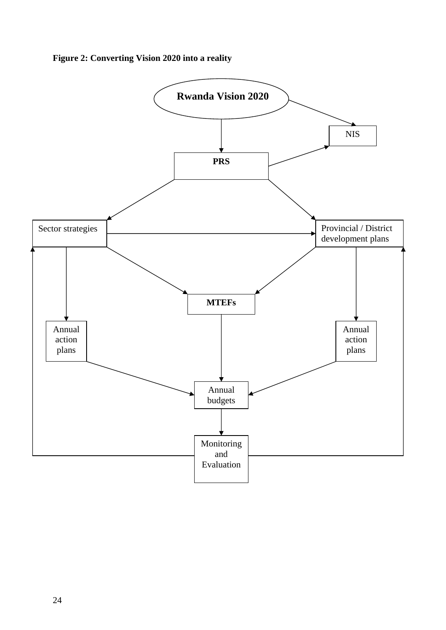### **Figure 2: Converting Vision 2020 into a reality**

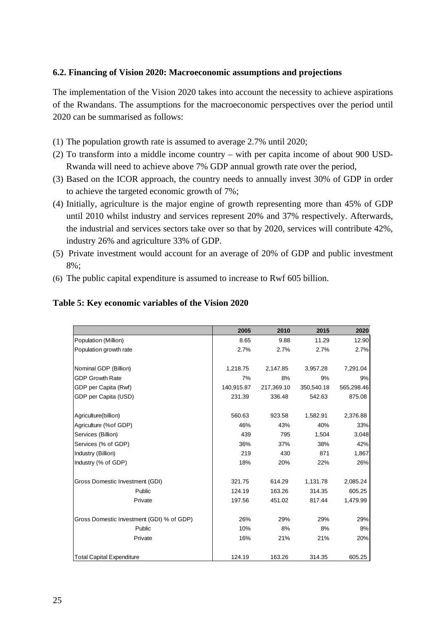#### **6.2. Financing of Vision 2020: Macroeconomic assumptions and projections**

The implementation of the Vision 2020 takes into account the necessity to achieve aspirations of the Rwandans. The assumptions for the macroeconomic perspectives over the period until 2020 can be summarised as follows:

- (1) The population growth rate is assumed to average 2.7% until 2020;
- (2) To transform into a middle income country with per capita income of about 900 USD-Rwanda will need to achieve above 7% GDP annual growth rate over the period,
- (3) Based on the ICOR approach, the country needs to annually invest 30% of GDP in order to achieve the targeted economic growth of 7%;
- (4) Initially, agriculture is the major engine of growth representing more than 45% of GDP until 2010 whilst industry and services represent 20% and 37% respectively. Afterwards, the industrial and services sectors take over so that by 2020, services will contribute 42%, industry 26% and agriculture 33% of GDP.
- (5) Private investment would account for an average of 20% of GDP and public investment 8%;
- (6) The public capital expenditure is assumed to increase to Rwf 605 billion.

| Table 5: Key economic variables of the Vision 2020 |  |
|----------------------------------------------------|--|
|----------------------------------------------------|--|

|                                           | 2005       | 2010       | 2015       | 2020       |
|-------------------------------------------|------------|------------|------------|------------|
| Population (Million)                      | 8.65       | 9.88       | 11.29      | 12.90      |
| Population growth rate                    | 2.7%       | 2.7%       | 2.7%       | 2.7%       |
| Nominal GDP (Billion)                     | 1,218.75   | 2,147.85   | 3,957.28   | 7,291.04   |
| <b>GDP Growth Rate</b>                    | 7%         | 8%         | 9%         | 9%         |
| GDP per Capita (Rwf)                      | 140,915.87 | 217,369.10 | 350,540.18 | 565,298.46 |
| GDP per Capita (USD)                      | 231.39     | 336.48     | 542.63     | 875.08     |
| Agriculture(billion)                      | 560.63     | 923.58     | 1,582.91   | 2,376.88   |
| Agriculture (%of GDP)                     | 46%        | 43%        | 40%        | 33%        |
| Services (Billion)                        | 439        | 795        | 1,504      | 3,048      |
| Services (% of GDP)                       | 36%        | 37%        | 38%        | 42%        |
| Industry (Billion)                        | 219        | 430        | 871        | 1,867      |
| Industry (% of GDP)                       | 18%        | 20%        | 22%        | 26%        |
| Gross Domestic Investment (GDI)           | 321.75     | 614.29     | 1,131.78   | 2,085.24   |
| Public                                    | 124.19     | 163.26     | 314.35     | 605.25     |
| Private                                   | 197.56     | 451.02     | 817.44     | 1,479.99   |
| Gross Domestic Investment (GDI) % of GDP) | 26%        | 29%        | 29%        | 29%        |
| Public                                    | 10%        | 8%         | 8%         | 8%         |
| Private                                   | 16%        | 21%        | 21%        | 20%        |
| <b>Total Capital Expenditure</b>          | 124.19     | 163.26     | 314.35     | 605.25     |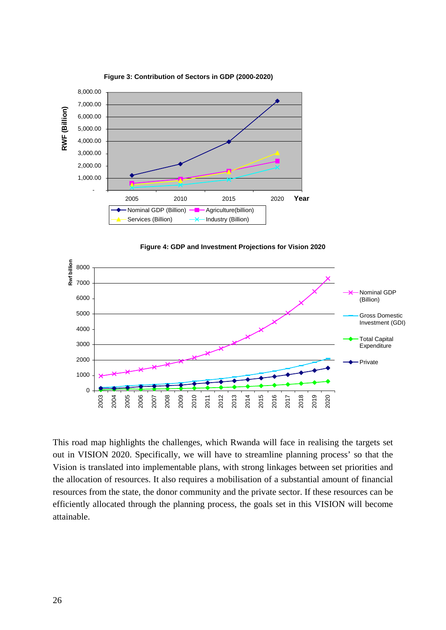







This road map highlights the challenges, which Rwanda will face in realising the targets set out in VISION 2020. Specifically, we will have to streamline planning process' so that the Vision is translated into implementable plans, with strong linkages between set priorities and the allocation of resources. It also requires a mobilisation of a substantial amount of financial resources from the state, the donor community and the private sector. If these resources can be efficiently allocated through the planning process, the goals set in this VISION will become attainable.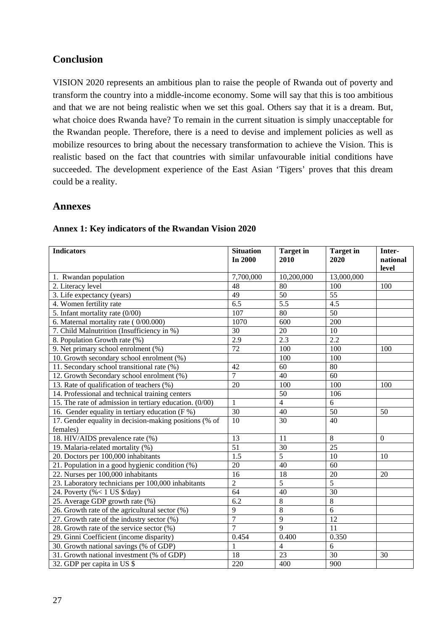# **Conclusion**

VISION 2020 represents an ambitious plan to raise the people of Rwanda out of poverty and transform the country into a middle-income economy. Some will say that this is too ambitious and that we are not being realistic when we set this goal. Others say that it is a dream. But, what choice does Rwanda have? To remain in the current situation is simply unacceptable for the Rwandan people. Therefore, there is a need to devise and implement policies as well as mobilize resources to bring about the necessary transformation to achieve the Vision. This is realistic based on the fact that countries with similar unfavourable initial conditions have succeeded. The development experience of the East Asian 'Tigers' proves that this dream could be a reality.

#### **Annexes**

| <b>Indicators</b>                                       | <b>Situation</b> | <b>Target</b> in |                          | Inter-         |
|---------------------------------------------------------|------------------|------------------|--------------------------|----------------|
|                                                         | In 2000          | 2010             | <b>Target</b> in<br>2020 | national       |
|                                                         |                  |                  |                          | level          |
| 1. Rwandan population                                   | 7,700,000        | 10,200,000       | 13,000,000               |                |
| 2. Literacy level                                       | 48               | 80               | 100                      | 100            |
| 3. Life expectancy (years)                              | 49               | 50               | 55                       |                |
| 4. Women fertility rate                                 | 6.5              | 5.5              | 4.5                      |                |
| 5. Infant mortality rate (0/00)                         | 107              | 80               | 50                       |                |
| 6. Maternal mortality rate (0/00.000)                   | 1070             | 600              | 200                      |                |
| 7. Child Malnutrition (Insufficiency in %)              | 30               | 20               | 10                       |                |
| 8. Population Growth rate (%)                           | 2.9              | 2.3              | 2.2                      |                |
| 9. Net primary school enrolment (%)                     | 72               | 100              | 100                      | 100            |
| 10. Growth secondary school enrolment (%)               |                  | 100              | 100                      |                |
| 11. Secondary school transitional rate (%)              | 42               | 60               | 80                       |                |
| 12. Growth Secondary school enrolment (%)               | $\overline{7}$   | 40               | 60                       |                |
| 13. Rate of qualification of teachers (%)               | 20               | 100              | 100                      | 100            |
| 14. Professional and technical training centers         |                  | 50               | 106                      |                |
| 15. The rate of admission in tertiary education. (0/00) | $\mathbf{1}$     | $\overline{4}$   | $\overline{6}$           |                |
| 16. Gender equality in tertiary education ( $F$ %)      | 30               | 40               | 50                       | 50             |
| 17. Gender equality in decision-making positions (% of  | 10               | 30               | 40                       |                |
| females)                                                |                  |                  |                          |                |
| 18. HIV/AIDS prevalence rate (%)                        | 13               | 11               | $\,8\,$                  | $\overline{0}$ |
| 19. Malaria-related mortality (%)                       | $\overline{51}$  | 30               | 25                       |                |
| 20. Doctors per 100,000 inhabitants                     | $\overline{1.5}$ | $\overline{5}$   | 10                       | 10             |
| 21. Population in a good hygienic condition (%)         | 20               | 40               | 60                       |                |
| 22. Nurses per 100,000 inhabitants                      | 16               | 18               | 20                       | 20             |
| 23. Laboratory technicians per 100,000 inhabitants      | $\overline{2}$   | 5                | $\overline{5}$           |                |
| 24. Poverty (%< 1 US \$/day)                            | 64               | 40               | 30                       |                |
| 25. Average GDP growth rate (%)                         | $\overline{6.2}$ | 8                | $\overline{8}$           |                |
| 26. Growth rate of the agricultural sector (%)          | $\overline{9}$   | 8                | 6                        |                |
| 27. Growth rate of the industry sector (%)              | $\overline{7}$   | $\mathbf Q$      | 12                       |                |
| 28. Growth rate of the service sector (%)               | $\overline{7}$   | $\mathbf Q$      | 11                       |                |
| 29. Ginni Coefficient (income disparity)                | 0.454            | 0.400            | 0.350                    |                |
| 30. Growth national savings (% of GDP)                  | $\mathbf{1}$     | $\overline{4}$   | 6                        |                |
| 31. Growth national investment (% of GDP)               | 18               | $\overline{23}$  | 30                       | 30             |
| 32. GDP per capita in US \$                             | 220              | 400              | 900                      |                |

#### **Annex 1: Key indicators of the Rwandan Vision 2020**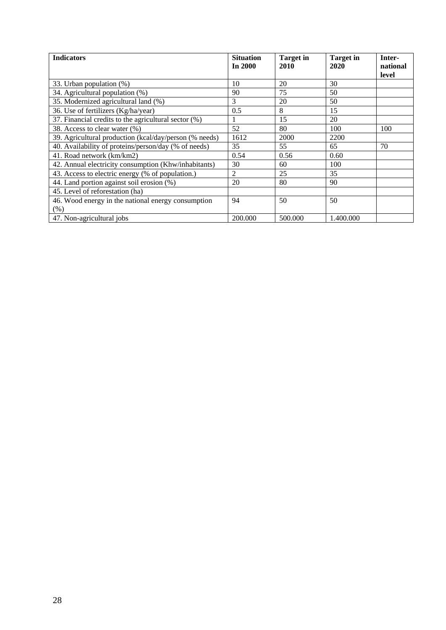| <b>Indicators</b>                                      | <b>Situation</b><br>In $2000$ | <b>Target</b> in<br>2010 | <b>Target</b> in<br>2020 | Inter-<br>national |
|--------------------------------------------------------|-------------------------------|--------------------------|--------------------------|--------------------|
|                                                        |                               |                          |                          | level              |
| 33. Urban population (%)                               | 10                            | 20                       | 30                       |                    |
| 34. Agricultural population (%)                        | 90                            | 75                       | 50                       |                    |
| 35. Modernized agricultural land (%)                   | 3                             | 20                       | 50                       |                    |
| 36. Use of fertilizers (Kg/ha/year)                    | 0.5                           | 8                        | 15                       |                    |
| 37. Financial credits to the agricultural sector (%)   |                               | 15                       | 20                       |                    |
| 38. Access to clear water (%)                          | 52                            | 80                       | 100                      | 100                |
| 39. Agricultural production (kcal/day/person (% needs) | 1612                          | 2000                     | 2200                     |                    |
| 40. Availability of proteins/person/day (% of needs)   | 35                            | 55                       | 65                       | 70                 |
| 41. Road network (km/km2)                              | 0.54                          | 0.56                     | 0.60                     |                    |
| 42. Annual electricity consumption (Khw/inhabitants)   | 30                            | 60                       | 100                      |                    |
| 43. Access to electric energy (% of population.)       | $\overline{2}$                | 25                       | 35                       |                    |
| 44. Land portion against soil erosion (%)              | 20                            | 80                       | 90                       |                    |
| 45. Level of reforestation (ha)                        |                               |                          |                          |                    |
| 46. Wood energy in the national energy consumption     | 94                            | 50                       | 50                       |                    |
| (% )                                                   |                               |                          |                          |                    |
| 47. Non-agricultural jobs                              | 200.000                       | 500,000                  | 1.400.000                |                    |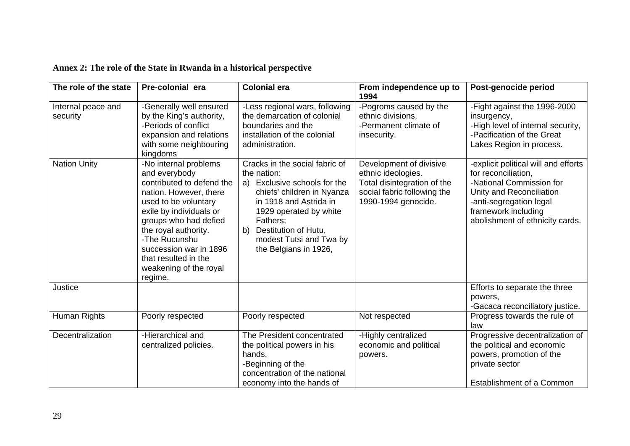| Annex 2: The role of the State in Rwanda in a historical perspective |  |  |  |  |
|----------------------------------------------------------------------|--|--|--|--|
|----------------------------------------------------------------------|--|--|--|--|

| The role of the state                                 | Pre-colonial era                                                                                                                                                                                                                   | <b>Colonial era</b>                                                                                                                                                                                                        | From independence up to                                                                                                                                                     | Post-genocide period                                                                                                                                                                                                                  |
|-------------------------------------------------------|------------------------------------------------------------------------------------------------------------------------------------------------------------------------------------------------------------------------------------|----------------------------------------------------------------------------------------------------------------------------------------------------------------------------------------------------------------------------|-----------------------------------------------------------------------------------------------------------------------------------------------------------------------------|---------------------------------------------------------------------------------------------------------------------------------------------------------------------------------------------------------------------------------------|
| Internal peace and<br>security<br><b>Nation Unity</b> | -Generally well ensured<br>by the King's authority,<br>-Periods of conflict<br>expansion and relations<br>with some neighbouring<br>kingdoms<br>-No internal problems<br>and everybody<br>contributed to defend the                | -Less regional wars, following<br>the demarcation of colonial<br>boundaries and the<br>installation of the colonial<br>administration.<br>Cracks in the social fabric of<br>the nation:<br>Exclusive schools for the<br>a) | 1994<br>-Pogroms caused by the<br>ethnic divisions,<br>-Permanent climate of<br>insecurity.<br>Development of divisive<br>ethnic ideologies.<br>Total disintegration of the | -Fight against the 1996-2000<br>insurgency,<br>-High level of internal security,<br>-Pacification of the Great<br>Lakes Region in process.<br>-explicit political will and efforts<br>for reconciliation,<br>-National Commission for |
|                                                       | nation. However, there<br>used to be voluntary<br>exile by individuals or<br>groups who had defied<br>the royal authority.<br>-The Rucunshu<br>succession war in 1896<br>that resulted in the<br>weakening of the royal<br>regime. | chiefs' children in Nyanza<br>in 1918 and Astrida in<br>1929 operated by white<br>Fathers;<br>Destitution of Hutu,<br>b)<br>modest Tutsi and Twa by<br>the Belgians in 1926,                                               | social fabric following the<br>1990-1994 genocide.                                                                                                                          | Unity and Reconciliation<br>-anti-segregation legal<br>framework including<br>abolishment of ethnicity cards.                                                                                                                         |
| Justice                                               |                                                                                                                                                                                                                                    |                                                                                                                                                                                                                            |                                                                                                                                                                             | Efforts to separate the three<br>powers,<br>-Gacaca reconciliatory justice.                                                                                                                                                           |
| Human Rights                                          | Poorly respected                                                                                                                                                                                                                   | Poorly respected                                                                                                                                                                                                           | Not respected                                                                                                                                                               | Progress towards the rule of<br>law                                                                                                                                                                                                   |
| Decentralization                                      | -Hierarchical and<br>centralized policies.                                                                                                                                                                                         | The President concentrated<br>the political powers in his<br>hands,<br>-Beginning of the<br>concentration of the national<br>economy into the hands of                                                                     | -Highly centralized<br>economic and political<br>powers.                                                                                                                    | Progressive decentralization of<br>the political and economic<br>powers, promotion of the<br>private sector<br><b>Establishment of a Common</b>                                                                                       |